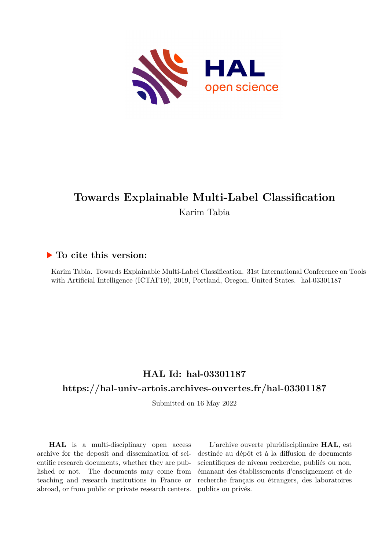

# **Towards Explainable Multi-Label Classification** Karim Tabia

# **To cite this version:**

Karim Tabia. Towards Explainable Multi-Label Classification. 31st International Conference on Tools with Artificial Intelligence (ICTAI'19), 2019, Portland, Oregon, United States. hal-03301187

# **HAL Id: hal-03301187**

# **<https://hal-univ-artois.archives-ouvertes.fr/hal-03301187>**

Submitted on 16 May 2022

**HAL** is a multi-disciplinary open access archive for the deposit and dissemination of scientific research documents, whether they are published or not. The documents may come from teaching and research institutions in France or abroad, or from public or private research centers.

L'archive ouverte pluridisciplinaire **HAL**, est destinée au dépôt et à la diffusion de documents scientifiques de niveau recherche, publiés ou non, émanant des établissements d'enseignement et de recherche français ou étrangers, des laboratoires publics ou privés.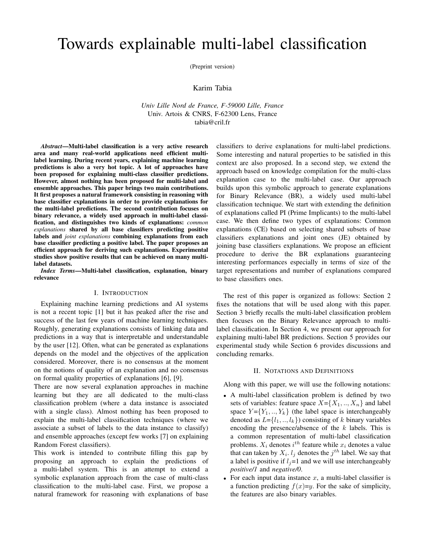# Towards explainable multi-label classification

(Preprint version)

# Karim Tabia

*Univ Lille Nord de France, F-59000 Lille, France* Univ. Artois & CNRS, F-62300 Lens, France tabia@cril.fr

*Abstract*—Multi-label classification is a very active research area and many real-world applications need efficient multilabel learning. During recent years, explaining machine learning predictions is also a very hot topic. A lot of approaches have been proposed for explaining multi-class classifier predictions. However, almost nothing has been proposed for multi-label and ensemble approaches. This paper brings two main contributions. It first proposes a natural framework consisting in reasoning with base classifier explanations in order to provide explanations for the multi-label predictions. The second contribution focuses on binary relevance, a widely used approach in multi-label classification, and distinguishes two kinds of explanations: *common explanations* shared by all base classifiers predicting positive labels and *joint explanations* combining explanations from each base classifier predicting a positive label. The paper proposes an efficient approach for deriving such explanations. Experimental studies show positive results that can be achieved on many multilabel datasets.

*Index Terms*—Multi-label classification, explanation, binary relevance

# I. INTRODUCTION

Explaining machine learning predictions and AI systems is not a recent topic [1] but it has peaked after the rise and success of the last few years of machine learning techniques. Roughly, generating explanations consists of linking data and predictions in a way that is interpretable and understandable by the user [12]. Often, what can be generated as explanations depends on the model and the objectives of the application considered. Moreover, there is no consensus at the moment on the notions of quality of an explanation and no consensus on formal quality properties of explanations [6], [9].

There are now several explanation approaches in machine learning but they are all dedicated to the multi-class classification problem (where a data instance is associated with a single class). Almost nothing has been proposed to explain the multi-label classification techniques (where we associate a subset of labels to the data instance to classify) and ensemble approaches (except few works [7] on explaining Random Forest classifiers).

This work is intended to contribute filling this gap by proposing an approach to explain the predictions of a multi-label system. This is an attempt to extend a symbolic explanation approach from the case of multi-class classification to the multi-label case. First, we propose a natural framework for reasoning with explanations of base

classifiers to derive explanations for multi-label predictions. Some interesting and natural properties to be satisfied in this context are also proposed. In a second step, we extend the approach based on knowledge compilation for the multi-class explanation case to the multi-label case. Our approach builds upon this symbolic approach to generate explanations for Binary Relevance (BR), a widely used multi-label classification technique. We start with extending the definition of explanations called PI (Prime Implicants) to the multi-label case. We then define two types of explanations: Common explanations (CE) based on selecting shared subsets of base classifiers explanations and joint ones (JE) obtained by joining base classifiers explanations. We propose an efficient procedure to derive the BR explanations guaranteeing interesting performances especially in terms of size of the target representations and number of explanations compared to base classifiers ones.

The rest of this paper is organized as follows: Section 2 fixes the notations that will be used along with this paper. Section 3 briefly recalls the multi-label classification problem then focuses on the Binary Relevance approach to multilabel classification. In Section 4, we present our approach for explaining multi-label BR predictions. Section 5 provides our experimental study while Section 6 provides discussions and concluding remarks.

#### II. NOTATIONS AND DEFINITIONS

Along with this paper, we will use the following notations:

- A multi-label classification problem is defined by two sets of variables: feature space  $X = \{X_1, ..., X_n\}$  and label space  $Y = \{Y_1, ..., Y_k\}$  (the label space is interchangeably denoted as  $L = \{l_1, ..., l_k\}$  consisting of k binary variables encoding the presence/absence of the  $k$  labels. This is a common representation of multi-label classification problems.  $X_i$  denotes  $i^{th}$  feature while  $x_i$  denotes a value that can taken by  $X_i$ .  $l_j$  denotes the  $j^{th}$  label. We say that a label is positive if  $l<sub>j</sub>=1$  and we will use interchangeably *positive/1* and *negative/0*.
- For each input data instance  $x$ , a multi-label classifier is a function predicting  $f(x)=y$ . For the sake of simplicity, the features are also binary variables.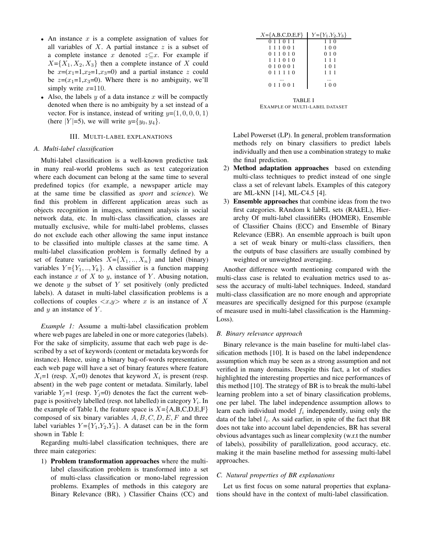- An instance  $x$  is a complete assignation of values for all variables of  $X$ . A partial instance  $z$  is a subset of a complete instance x denoted  $z \subseteq x$ . For example if  $X = \{X_1, X_2, X_3\}$  then a complete instance of X could be  $x=(x_1=1,x_2=1,x_3=0)$  and a partial instance z could be  $z=(x_1=1,x_3=0)$ . Where there is no ambiguity, we'll simply write  $x=110$ .
- Also, the labels y of a data instance x will be compactly denoted when there is no ambiguity by a set instead of a vector. For is instance, instead of writing  $y=(1, 0, 0, 0, 1)$ (here  $|Y|=5$ ), we will write  $y=\{y_0, y_4\}$ .

### III. MULTI-LABEL EXPLANATIONS

# *A. Multi-label classification*

Multi-label classification is a well-known predictive task in many real-world problems such as text categorization where each document can belong at the same time to several predefined topics (for example, a newspaper article may at the same time be classified as *sport* and *science*). We find this problem in different application areas such as objects recognition in images, sentiment analysis in social network data, etc. In multi-class classification, classes are mutually exclusive, while for multi-label problems, classes do not exclude each other allowing the same input instance to be classified into multiple classes at the same time. A multi-label classification problem is formally defined by a set of feature variables  $X = \{X_1, ..., X_n\}$  and label (binary) variables  $Y = \{Y_1, ..., Y_k\}$ . A classifier is a function mapping each instance  $x$  of  $X$  to  $y$ , instance of  $Y$ . Abusing notation, we denote  $y$  the subset of  $Y$  set positively (only predicted labels). A dataset in multi-label classification problems is a collections of couples  $\langle x,y \rangle$  where x is an instance of X and  $y$  an instance of  $Y$ .

*Example 1:* Assume a multi-label classification problem where web pages are labeled in one or more categories (labels). For the sake of simplicity, assume that each web page is described by a set of keywords (content or metadata keywords for instance). Hence, using a binary bag-of-words representation, each web page will have a set of binary features where feature  $X_i=1$  (resp.  $X_i=0$ ) denotes that keyword  $X_i$  is present (resp. absent) in the web page content or metadata. Similarly, label variable  $Y_i=1$  (resp.  $Y_i=0$ ) denotes the fact the current webpage is positively labelled (resp. not labelled) in category  $Y_i$ . In the example of Table I, the feature space is  $X = \{A, B, C, D, E, F\}$ composed of six binary variables  $A, B, C, D, E, F$  and three label variables  $Y = \{Y_1, Y_2, Y_3\}$ . A dataset can be in the form shown in Table I:

Regarding multi-label classification techniques, there are three main categories:

1) Problem transformation approaches where the multilabel classification problem is transformed into a set of multi-class classification or mono-label regression problems. Examples of methods in this category are Binary Relevance (BR), ) Classifier Chains (CC) and

| $X = \{A,B,C,D,E,F\}$ | $Y = \{Y_1, Y_2, Y_3\}$ |
|-----------------------|-------------------------|
| 0 1 1 0 1 1           | 110                     |
| 1 1 1 0 0 1           | 100                     |
| 0 1 1 0 1 0           | 010                     |
| 111010                | 111                     |
| 010001                | 101                     |
| 0 1 1 1 1 0           | 111                     |
|                       |                         |
| 0 1 1 0 0 1           | 100                     |
|                       |                         |

TABLE I EXAMPLE OF MULTI-LABEL DATASET

Label Powerset (LP). In general, problem transformation methods rely on binary classifiers to predict labels individually and then use a combination strategy to make the final prediction.

- 2) Method adaptation approaches based on extending multi-class techniques to predict instead of one single class a set of relevant labels. Examples of this category are ML-kNN [14], ML-C4.5 [4].
- 3) Ensemble approaches that combine ideas from the two first categories. RAndom k labEL sets (RAkEL), Hierarchy Of multi-label classifiERs (HOMER), Ensemble of Classifier Chains (ECC) and Ensemble of Binary Relevance (EBR). An ensemble approach is built upon a set of weak binary or multi-class classifiers, then the outputs of base classifiers are usually combined by weighted or unweighted averaging.

Another difference worth mentioning compared with the multi-class case is related to evaluation metrics used to assess the accuracy of multi-label techniques. Indeed, standard multi-class classification are no more enough and appropriate measures are specifically designed for this purpose (example of measure used in multi-label classification is the Hamming-Loss).

# *B. Binary relevance approach*

Binary relevance is the main baseline for multi-label classification methods [10]. It is based on the label independence assumption which may be seen as a strong assumption and not verified in many domains. Despite this fact, a lot of studies highlighted the interesting properties and nice performances of this method [10]. The strategy of BR is to break the multi-label learning problem into a set of binary classification problems, one per label. The label independence assumption allows to learn each individual model  $f_i$  independently, using only the data of the label  $l_i$ . As said earlier, in spite of the fact that BR does not take into account label dependencies, BR has several obvious advantages such as linear complexity (w.r.t the number of labels), possibility of parallelization, good accuracy, etc. making it the main baseline method for assessing multi-label approaches.

#### *C. Natural properties of BR explanations*

Let us first focus on some natural properties that explanations should have in the context of multi-label classification.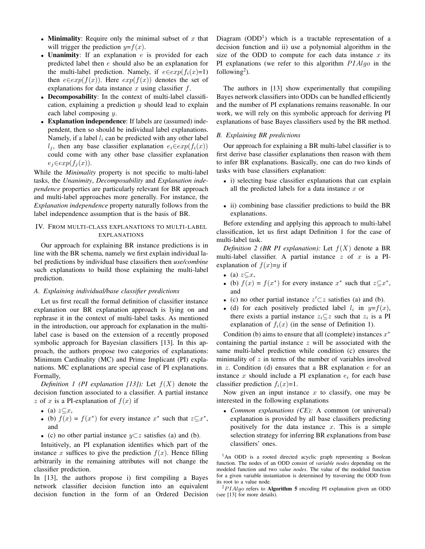- Minimality: Require only the minimal subset of  $x$  that will trigger the prediction  $y=f(x)$ .
- Unanimity: If an explanation  $e$  is provided for each predicted label then e should also be an explanation for the multi-label prediction. Namely, if  $e \in exp(f_i(x)=1)$ then  $e \in exp(f(x))$ . Here  $exp(f(x))$  denotes the set of explanations for data instance  $x$  using classifier  $f$ .
- Decomposability: In the context of multi-label classification, explaining a prediction  $y$  should lead to explain each label composing  $y$ .
- Explanation independence: If labels are (assumed) independent, then so should be individual label explanations. Namely, if a label  $l_i$  can be predicted with any other label l<sub>i</sub>, then any base classifier explanation  $e_i \in exp(f_i(x))$ could come with any other base classifier explanation  $e_j \in exp(f_j(x)).$

While the *Minimality* property is not specific to multi-label tasks, the *Unanimity*, *Decomposability* and *Explanation independence* properties are particularly relevant for BR approach and multi-label approaches more generally. For instance, the *Explanation independence* property naturally follows from the label independence assumption that is the basis of BR.

# IV. FROM MULTI-CLASS EXPLANATIONS TO MULTI-LABEL EXPLANATIONS

Our approach for explaining BR instance predictions is in line with the BR schema, namely we first explain individual label predictions by individual base classifiers then *use/combine* such explanations to build those explaining the multi-label prediction.

# *A. Explaining individual/base classifier predictions*

Let us first recall the formal definition of classifier instance explanation our BR explanation approach is lying on and rephrase it in the context of multi-label tasks. As mentioned in the introduction, our approach for explanation in the multilabel case is based on the extension of a recently proposed symbolic approach for Bayesian classifiers [13]. In this approach, the authors propose two categories of explanations: Minimum Cardinality (MC) and Prime Implicant (PI) explanations. MC explanations are special case of PI explanations. Formally,

*Definition 1 (PI explanation [13]):* Let  $f(X)$  denote the decision function associated to a classifier. A partial instance z of x is a PI-explanation of  $f(x)$  if

- (a)  $z \subseteq x$ ,
- (b)  $f(x) = f(x^*)$  for every instance  $x^*$  such that  $z \subseteq x^*$ , and
- (c) no other partial instance  $y \subset z$  satisfies (a) and (b).

Intuitively, an PI explanation identifies which part of the instance x suffices to give the prediction  $f(x)$ . Hence filling arbitrarily in the remaining attributes will not change the classifier prediction.

In [13], the authors propose i) first compiling a Bayes network classifier decision function into an equivalent decision function in the form of an Ordered Decision

Diagram (ODD<sup>1</sup>) which is a tractable representation of a decision function and ii) use a polynomial algorithm in the size of the ODD to compute for each data instance  $x$  its PI explanations (we refer to this algorithm  $PIAlgo$  in the following<sup>2</sup>).

The authors in [13] show experimentally that compiling Bayes network classifiers into ODDs can be handled efficiently and the number of PI explanations remains reasonable. In our work, we will rely on this symbolic approach for deriving PI explanations of base Bayes classifiers used by the BR method.

#### *B. Explaining BR predictions*

Our approach for explaining a BR multi-label classifier is to first derive base classifier explanations then reason with them to infer BR explanations. Basically, one can do two kinds of tasks with base classifiers explanation:

- i) selecting base classifier explanations that can explain all the predicted labels for a data instance  $x$  or
- ii) combining base classifier predictions to build the BR explanations.

Before extending and applying this approach to multi-label classification, let us first adapt Definition 1 for the case of multi-label task.

*Definition 2 (BR PI explanation):* Let  $f(X)$  denote a BR multi-label classifier. A partial instance  $z$  of  $x$  is a PIexplanation of  $f(x)=y$  if

- (a)  $z \subseteq x$ ,
- (b)  $f(x) = f(x^*)$  for every instance  $x^*$  such that  $z \subseteq x^*$ , and
- (c) no other partial instance  $z' \subset z$  satisfies (a) and (b).
- (d) for each positively predicted label  $l_i$  in  $y=f(x)$ , there exists a partial instance  $z_i \subseteq z$  such that  $z_i$  is a PI explanation of  $f_i(x)$  (in the sense of Definition 1).

Condition (b) aims to ensure that all (complete) instances  $x^*$ containing the partial instance  $z$  will be associated with the same multi-label prediction while condition (c) ensures the minimality of  $z$  in terms of the number of variables involved in z. Condition (d) ensures that a BR explanation  $e$  for an instance x should include a PI explanation  $e_i$  for each base classifier prediction  $f_i(x)=1$ .

Now given an input instance  $x$  to classify, one may be interested in the following explanations

• *Common explanations (CE):* A common (or universal) explanation is provided by all base classifiers predicting positively for the data instance  $x$ . This is a simple selection strategy for inferring BR explanations from base classifiers' ones.

<sup>1</sup>An ODD is a rooted directed acyclic graph representing a Boolean function. The nodes of an ODD consist of *variable nodes* depending on the modeled function and two *value nodes*. The value of the modeled function for a given variable instantiation is determined by traversing the ODD from its root to a value node.

 $^{2}PIAlgo$  refers to **Algorithm 5** encoding PI explanation given an ODD (see [13] for more details).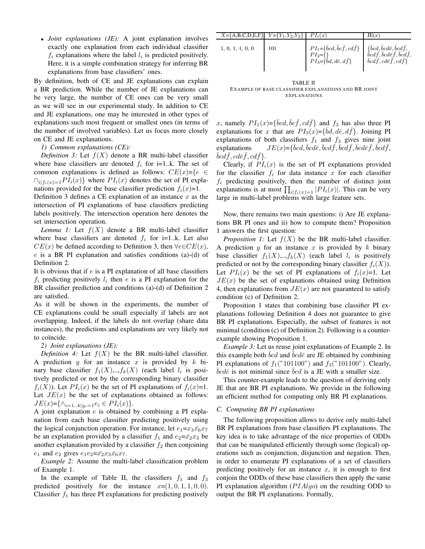• *Joint explanations (JE):* A joint explanation involves exactly one explanation from each individual classifier  $f_i$  explanations where the label  $l_i$  is predicted positively. Here, it is a simple combination strategy for inferring BR explanations from base classifiers' ones.

By definition, both of CE and JE explanations can explain a BR prediction. While the number of JE explanations can be very large, the number of CE ones can be very small as we will see in our experimental study. In addition to CE and JE explanations, one may be interested in other types of explanations such most frequent or smallest ones (in terms of the number of involved variables). Let us focus more closely on CE and JE explanations.

# *1) Common explanations (CE):*

*Definition 3:* Let  $f(X)$  denote a BR multi-label classifier where base classifiers are denoted  $f_i$  for i=1..k. The set of common explanations is defined as follows:  $CE(x)=\{e \in$  $\bigcap_{i \in I} P I_i(x)$  where  $PI_i(x)$  denotes the set of PI explanations provided for the base classifier prediction  $f_i(x)=1$ .

Definition 3 defines a CE explanation of an instance  $x$  as the intersection of PI explanations of base classifiers predicting labels positively. The intersection operation here denotes the set intersection operation.

*Lemma 1:* Let  $f(X)$  denote a BR multi-label classifier where base classifiers are denoted  $f_i$  for i=1.k. Let also  $CE(x)$  be defined according to Definition 3, then  $\forall e \in CE(x)$ ,  $e$  is a BR PI explanation and satisfies conditions (a)-(d) of Definition 2.

It is obvious that if  $e$  is a PI explanation of all base classifiers  $f_i$  predicting positively  $l_i$  then  $e$  is a PI explanation for the BR classifier prediction and conditions (a)-(d) of Definition 2 are satisfied.

As it will be shown in the experiments, the number of CE explanations could be small especially if labels are not overlapping. Indeed, if the labels do not overlap (share data instances), the predictions and explanations are very likely not to coïncide.

#### *2) Joint explanations (JE):*

*Definition 4:* Let  $f(X)$  be the BR multi-label classifier. A prediction  $y$  for an instance  $x$  is provided by  $k$  binary base classifier  $f_1(X),...,f_k(X)$  (each label  $l_i$  is positively predicted or not by the corresponding binary classifier  $f_i(X)$ ). Let  $PI_i(x)$  be the set of PI explanations of  $f_i(x)=1$ . Let  $JE(x)$  be the set of explanations obtained as follows:  $JE(x)=\{\wedge_{i=1..k|y_i=1}e_i \in PI_i(x)\}.$ 

A joint explanation  $e$  is obtained by combining a PI explanation from each base classifier predicting positively using the logical conjunction operation. For instance, let  $e_1 = x_3 \bar{x_6} x_7$ be an explanation provided by a classifier  $f_1$  and  $e_2 = \bar{x_2}x_3$  be another explanation provided by a classifier  $f_2$  then conjoining  $e_1$  and  $e_2$  gives  $e_1e_2 = \bar{x_2}x_3\bar{x_6}x_7$ .

*Example 2:* Assume the multi-label classification problem of Example 1.

In the example of Table II, the classifiers  $f_1$  and  $f_3$ predicted positively for the instance  $x=(1, 0, 1, 1, 0, 0)$ . Classifier  $f_1$  has three PI explanations for predicting postively

| $X = \{A, B, C, D, E, F\}$ $Y = \{Y_1, Y_2, Y_3\}$ |     | $PI_i(x)$                                                                                                         | JE(x)                                                                                                                                                   |
|----------------------------------------------------|-----|-------------------------------------------------------------------------------------------------------------------|---------------------------------------------------------------------------------------------------------------------------------------------------------|
| 1, 0, 1, 1, 0, 0                                   | 101 | $PI_1=\{ \bar b c d, \bar b c \bar f, c d \bar f \}$<br>$PI_2 = \{\}$<br>$PI_3=\{\bar{b}d, d\bar{e}, d\bar{f}\}\$ | $\{\bar{b}cd, \bar{b}cd\bar{e}, \bar{b}cd\bar{f},\}$<br>$\bar{b}cd\bar{f}, \bar{b}cd\bar{e}\bar{f}, \bar{b}cd\bar{f},$<br>$bcdf, cd\bar{e}f, cd\bar{f}$ |

TABLE II EXAMPLE OF BASE CLASSIFIER EXPLANATIONS AND BR JOINT EXPLANATIONS

x, namely  $PI_1(x) = {\bar b}cd, {\bar b}c\bar f, cd\bar f$  and  $f_3$  has also three PI explanations for x that are  $PI_3(x) = {\bar{b}d, d\bar{e}, d\bar{f}}$ . Joining PI explanations of both classifiers  $f_1$  and  $f_3$  gives nine joint explanations  $\bar b c d, \bar b c d \bar e, \bar b c d \bar f, \bar b c d \bar f, \bar b c d \bar e \bar f, \bar b c d \bar f,$  $\bar{b}c\bar{d}\bar{f},cd\bar{e}\bar{f},cd\bar{f}\}.$ 

Clearly, if  $PI_i(x)$  is the set of PI explanations provided for the classifier  $f_i$  for data instance x for each classifier  $f_i$  predicting positively, then the number of distinct joint explanations is at most  $\prod_{i|f_i(x)=1} |PI_i(x)|$ . This can be very large in multi-label problems with large feature sets.

Now, there remains two main questions: i) Are JE explanations BR PI ones and ii) how to compute them? Proposition 1 answers the first question:

*Proposition 1:* Let  $f(X)$  be the BR multi-label classifier. A prediction  $y$  for an instance  $x$  is provided by  $k$  binary base classifier  $f_1(X),...,f_k(X)$  (each label  $l_i$  is positively predicted or not by the corresponding binary classifier  $f_i(X)$ ). Let  $PI_i(x)$  be the set of PI explanations of  $f_i(x)=1$ . Let  $JE(x)$  be the set of explanations obtained using Definition 4, then explanations from  $JE(x)$  are not guaranteed to satisfy condition (c) of Definition 2.

Proposition 1 states that combining base classifier PI explanations following Definition 4 does not guarantee to give BR PI explanations. Especially, the subset of features is not minimal (condition (c) of Definition 2). Following is a counterexample showing Proposition 1.

*Example 3:* Let us reuse joint explanations of Example 2. In this example both  $\bar{b}cd$  and  $\bar{b}cd\bar{e}$  are JE obtained by combining PI explanations of  $f_1("101100")$  and  $f_3("101100")$ . Clearly,  $\bar{b}cd\bar{e}$  is not minimal since  $\bar{b}cd$  is a JE with a smaller size.

This counter-example leads to the question of deriving only JE that are BR PI explanations. We provide in the following an efficient method for computing only BR PI explanations.

# *C. Computing BR PI explanations*

The following proposition allows to derive only multi-label BR PI explanations from base classifiers PI explanations. The key idea is to take advantage of the nice properties of ODDs that can be manipulated efficiently through some (logical) operations such as conjunction, disjunction and negation. Then, in order to enumerate PI explanations of a set of classifiers predicting positively for an instance  $x$ , it is enough to first conjoin the ODDs of these base classifiers then apply the same PI explanation algorithm  $(PIAlgo)$  on the resulting ODD to output the BR PI explanations. Formally,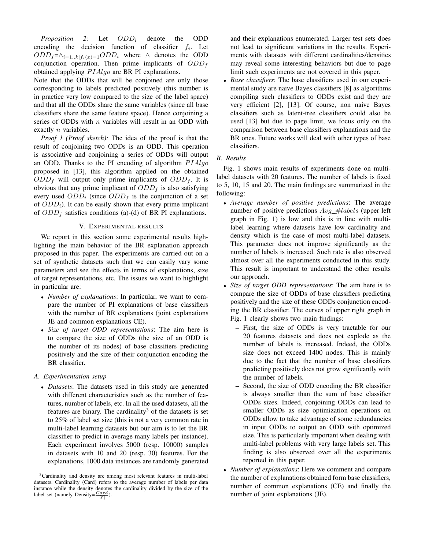*Proposition 2:* Let  $ODD_i$  denote the ODD encoding the decision function of classifier  $f_i$ . Let  $ODD_f=\wedge_{i=1..k}f_i(x)=1}ODD_i$  where  $\wedge$  denotes the ODD conjunction operation. Then prime implicants of  $ODD<sub>f</sub>$ obtained applying  $PIAlgo$  are BR PI explanations.

Note that the ODDs that will be conjoined are only those corresponding to labels predicted positively (this number is in practice very low compared to the size of the label space) and that all the ODDs share the same variables (since all base classifiers share the same feature space). Hence conjoining a series of ODDs with  $n$  variables will result in an ODD with exactly *n* variables.

*Proof 1 (Proof sketch):* The idea of the proof is that the result of conjoining two ODDs is an ODD. This operation is associative and conjoining a series of ODDs will output an ODD. Thanks to the PI encoding of algorithm  $PIAlgo$ proposed in [13], this algorithm applied on the obtained  $ODD_f$  will output only prime implicants of  $ODD_f$ . It is obvious that any prime implicant of  $ODD<sub>f</sub>$  is also satisfying every used  $ODD_i$  (since  $ODD_f$  is the conjunction of a set of  $ODD<sub>i</sub>$ ). It can be easily shown that every prime implicant of  $ODD_f$  satisfies conditions (a)-(d) of BR PI explanations.

# V. EXPERIMENTAL RESULTS

We report in this section some experimental results highlighting the main behavior of the BR explanation approach proposed in this paper. The experiments are carried out on a set of synthetic datasets such that we can easily vary some parameters and see the effects in terms of explanations, size of target representations, etc. The issues we want to highlight in particular are:

- *Number of explanations*: In particular, we want to compare the number of PI explanations of base classifiers with the number of BR explanations (joint explanations JE and common explanations CE).
- *Size of target ODD representations*: The aim here is to compare the size of ODDs (the size of an ODD is the number of its nodes) of base classifiers predicting positively and the size of their conjunction encoding the BR classifier.

# *A. Experimentation setup*

• *Datasets*: The datasets used in this study are generated with different characteristics such as the number of features, number of labels, etc. In all the used datasets, all the features are binary. The cardinality<sup>3</sup> of the datasets is set to 25% of label set size (this is not a very common rate in multi-label learning datasets but our aim is to let the BR classifier to predict in average many labels per instance). Each experiment involves 5000 (resp. 10000) samples in datasets with 10 and 20 (resp. 30) features. For the explanations, 1000 data instances are randomly generated

and their explanations enumerated. Larger test sets does not lead to significant variations in the results. Experiments with datasets with different cardinalities/densities may reveal some interesting behaviors but due to page limit such experiments are not covered in this paper.

• *Base classifiers*: The base classifiers used in our experimental study are naive Bayes classifiers [8] as algorithms compiling such classifiers to ODDs exist and they are very efficient [2], [13]. Of course, non naive Bayes classifiers such as latent-tree classifiers could also be used [13] but due to page limit, we focus only on the comparison between base classifiers explanations and the BR ones. Future works will deal with other types of base classifiers.

# *B. Results*

Fig. 1 shows main results of experiments done on multilabel datasets with 20 features. The number of labels is fixed to 5, 10, 15 and 20. The main findings are summarized in the following:

- *Average number of positive predictions*: The average number of positive predictions  $Avg$  #labels (upper left graph in Fig. 1) is low and this is in line with multilabel learning where datasets have low cardinality and density which is the case of most multi-label datasets. This parameter does not improve significantly as the number of labels is increased. Such rate is also observed almost over all the experiments conducted in this study. This result is important to understand the other results our approach.
- *Size of target ODD representations*: The aim here is to compare the size of ODDs of base classifiers predicting positively and the size of these ODDs conjunction encoding the BR classifier. The curves of upper right graph in Fig. 1 clearly shows two main findings:
	- First, the size of ODDs is very tractable for our 20 features datasets and does not explode as the number of labels is increased. Indeed, the ODDs size does not exceed 1400 nodes. This is mainly due to the fact that the number of base classifiers predicting positively does not grow significantly with the number of labels.
	- Second, the size of ODD encoding the BR classifier is always smaller than the sum of base classifier ODDs sizes. Indeed, conjoining ODDs can lead to smaller ODDs as size optimization operations on ODDs allow to take advantage of some redundancies in input ODDs to output an ODD with optimized size. This is particularly important when dealing with multi-label problems with very large labels set. This finding is also observed over all the experiments reported in this paper.
- *Number of explanations*: Here we comment and compare the number of explanations obtained form base classifiers, number of common explanations (CE) and finally the number of joint explanations (JE).

<sup>&</sup>lt;sup>3</sup>Cardinality and density are among most relevant features in multi-label datasets. Cardinality (Card) refers to the average number of labels per data instance while the density denotes the cardinality divided by the size of the label set (namely Density= $\frac{Card}{|Y|}$ ).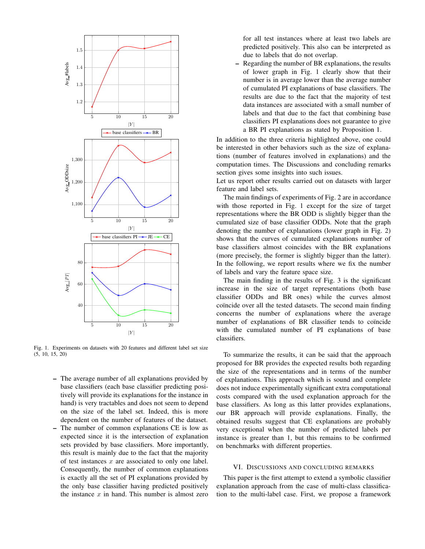

Fig. 1. Experiments on datasets with 20 features and different label set size  $(5, 10, 15, 20)$ 

- The average number of all explanations provided by base classifiers (each base classifier predicting positively will provide its explanations for the instance in hand) is very tractables and does not seem to depend on the size of the label set. Indeed, this is more dependent on the number of features of the dataset.
- The number of common explanations CE is low as expected since it is the intersection of explanation sets provided by base classifiers. More importantly, this result is mainly due to the fact that the majority of test instances  $x$  are associated to only one label. Consequently, the number of common explanations is exactly all the set of PI explanations provided by the only base classifier having predicted positively the instance  $x$  in hand. This number is almost zero

for all test instances where at least two labels are predicted positively. This also can be interpreted as due to labels that do not overlap.

– Regarding the number of BR explanations, the results of lower graph in Fig. 1 clearly show that their number is in average lower than the average number of cumulated PI explanations of base classifiers. The results are due to the fact that the majority of test data instances are associated with a small number of labels and that due to the fact that combining base classifiers PI explanations does not guarantee to give a BR PI explanations as stated by Proposition 1.

In addition to the three criteria highlighted above, one could be interested in other behaviors such as the size of explanations (number of features involved in explanations) and the computation times. The Discussions and concluding remarks section gives some insights into such issues.

Let us report other results carried out on datasets with larger feature and label sets.

The main findings of experiments of Fig. 2 are in accordance with those reported in Fig. 1 except for the size of target representations where the BR ODD is slightly bigger than the cumulated size of base classifier ODDs. Note that the graph denoting the number of explanations (lower graph in Fig. 2) shows that the curves of cumulated explanations number of base classifiers almost coincides with the BR explanations (more precisely, the former is slightly bigger than the latter). In the following, we report results where we fix the number of labels and vary the feature space size.

The main finding in the results of Fig. 3 is the significant increase in the size of target representations (both base classifier ODDs and BR ones) while the curves almost coïncide over all the tested datasets. The second main finding concerns the number of explanations where the average number of explanations of BR classifier tends to coïncide with the cumulated number of PI explanations of base classifiers.

To summarize the results, it can be said that the approach proposed for BR provides the expected results both regarding the size of the representations and in terms of the number of explanations. This approach which is sound and complete does not induce experimentally significant extra computational costs compared with the used explanation approach for the base classifiers. As long as this latter provides explanations, our BR approach will provide explanations. Finally, the obtained results suggest that CE explanations are probably very exceptional when the number of predicted labels per instance is greater than 1, but this remains to be confirmed on benchmarks with different properties.

### VI. DISCUSSIONS AND CONCLUDING REMARKS

This paper is the first attempt to extend a symbolic classifier explanation approach from the case of multi-class classification to the multi-label case. First, we propose a framework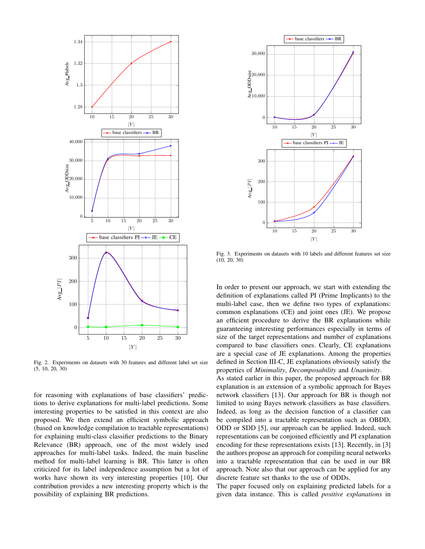

Fig. 2. Experiments on datasets with 30 features and different label set size (5, 10, 20, 30)

for reasoning with explanations of base classifiers' predictions to derive explanations for multi-label predictions. Some interesting properties to be satisfied in this context are also proposed. We then extend an efficient symbolic approach (based on knowledge compilation to tractable representations) for explaining multi-class classifier predictions to the Binary Relevance (BR) approach, one of the most widely used approaches for multi-label tasks. Indeed, the main baseline method for multi-label learning is BR. This latter is often criticized for its label independence assumption but a lot of works have shown its very interesting properties [10]. Our contribution provides a new interesting property which is the possibility of explaining BR predictions.



Fig. 3. Experiments on datasets with 10 labels and different features set size (10, 20, 30)

In order to present our approach, we start with extending the definition of explanations called PI (Prime Implicants) to the multi-label case, then we define two types of explanations: common explanations (CE) and joint ones (JE). We propose an efficient procedure to derive the BR explanations while guaranteeing interesting performances especially in terms of size of the target representations and number of explanations compared to base classifiers ones. Clearly, CE explanations are a special case of JE explanations. Among the properties defined in Section III-C, JE explanations obviously satisfy the properties of *Minimality*, *Decomposability* and *Unanimity*.

As stated earlier in this paper, the proposed approach for BR explanation is an extension of a symbolic approach for Bayes network classifiers [13]. Our approach for BR is though not limited to using Bayes network classifiers as base classifiers. Indeed, as long as the decision function of a classifier can be compiled into a tractable representation such as OBDD, ODD or SDD [5], our approach can be applied. Indeed, such representations can be conjoined efficiently and PI explanation encoding for these representations exists [13]. Recently, in [3] the authors propose an approach for compiling neural networks into a tractable representation that can be used in our BR approach. Note also that our approach can be applied for any discrete feature set thanks to the use of ODDs.

The paper focused only on explaining predicted labels for a given data instance. This is called *positive explanations* in